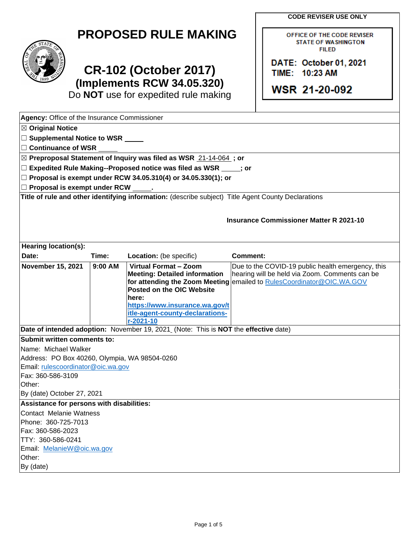**CODE REVISER USE ONLY** 

OFFICE OF THE CODE REVISER **STATE OF WASHINGTON FILED** 

**DATE: October 01, 2021** 

TIME: **10:23 AM** 

**WSR 21-20-092** 

|  | <b>PROPOSED RULE MAKING</b> |
|--|-----------------------------|
|--|-----------------------------|



## **CR-102 (October 2017) (Implements RCW 34.05.320)**

Do **NOT** use for expedited rule making

| Agency: Office of the Insurance Commissioner                      |           |                                                                                                     |                                                   |  |  |  |
|-------------------------------------------------------------------|-----------|-----------------------------------------------------------------------------------------------------|---------------------------------------------------|--|--|--|
| <b>⊠ Original Notice</b>                                          |           |                                                                                                     |                                                   |  |  |  |
| □ Supplemental Notice to WSR <u>■ ■</u>                           |           |                                                                                                     |                                                   |  |  |  |
| $\Box$ Continuance of WSR                                         |           |                                                                                                     |                                                   |  |  |  |
|                                                                   |           | ⊠ Preproposal Statement of Inquiry was filed as WSR 21-14-064; or                                   |                                                   |  |  |  |
|                                                                   |           | $\Box$ Expedited Rule Making--Proposed notice was filed as WSR $\Box$ ; or                          |                                                   |  |  |  |
| $□$ Proposal is exempt under RCW 34.05.310(4) or 34.05.330(1); or |           |                                                                                                     |                                                   |  |  |  |
| $\Box$ Proposal is exempt under RCW                               |           |                                                                                                     |                                                   |  |  |  |
|                                                                   |           | Title of rule and other identifying information: (describe subject) Title Agent County Declarations |                                                   |  |  |  |
|                                                                   |           |                                                                                                     |                                                   |  |  |  |
|                                                                   |           |                                                                                                     |                                                   |  |  |  |
|                                                                   |           |                                                                                                     | <b>Insurance Commissioner Matter R 2021-10</b>    |  |  |  |
|                                                                   |           |                                                                                                     |                                                   |  |  |  |
| <b>Hearing location(s):</b>                                       |           |                                                                                                     |                                                   |  |  |  |
| Date:                                                             | Time:     | Location: (be specific)                                                                             | <b>Comment:</b>                                   |  |  |  |
| <b>November 15, 2021</b>                                          | $9:00$ AM | Virtual Format - Zoom                                                                               | Due to the COVID-19 public health emergency, this |  |  |  |
|                                                                   |           | <b>Meeting: Detailed information</b>                                                                | hearing will be held via Zoom. Comments can be    |  |  |  |
|                                                                   |           | for attending the Zoom Meeting                                                                      | emailed to RulesCoordinator@OIC.WA.GOV            |  |  |  |
|                                                                   |           | Posted on the OIC Website                                                                           |                                                   |  |  |  |
|                                                                   |           | here:                                                                                               |                                                   |  |  |  |
|                                                                   |           | https://www.insurance.wa.gov/t                                                                      |                                                   |  |  |  |
|                                                                   |           | itle-agent-county-declarations-                                                                     |                                                   |  |  |  |
|                                                                   |           | r-2021-10                                                                                           |                                                   |  |  |  |
|                                                                   |           | Date of intended adoption: November 19, 2021 (Note: This is NOT the effective date)                 |                                                   |  |  |  |
| Submit written comments to:                                       |           |                                                                                                     |                                                   |  |  |  |
| Name: Michael Walker                                              |           |                                                                                                     |                                                   |  |  |  |
| Address: PO Box 40260, Olympia, WA 98504-0260                     |           |                                                                                                     |                                                   |  |  |  |
| Email: rulescoordinator@oic.wa.gov                                |           |                                                                                                     |                                                   |  |  |  |
| Fax: 360-586-3109<br>Other:                                       |           |                                                                                                     |                                                   |  |  |  |
| By (date) October 27, 2021                                        |           |                                                                                                     |                                                   |  |  |  |
| Assistance for persons with disabilities:                         |           |                                                                                                     |                                                   |  |  |  |
| Contact Melanie Watness                                           |           |                                                                                                     |                                                   |  |  |  |
| Phone: 360-725-7013                                               |           |                                                                                                     |                                                   |  |  |  |
| Fax: 360-586-2023                                                 |           |                                                                                                     |                                                   |  |  |  |
| TTY: 360-586-0241                                                 |           |                                                                                                     |                                                   |  |  |  |
| Email: MelanieW@oic.wa.gov                                        |           |                                                                                                     |                                                   |  |  |  |
| Other:                                                            |           |                                                                                                     |                                                   |  |  |  |
| By (date)                                                         |           |                                                                                                     |                                                   |  |  |  |
|                                                                   |           |                                                                                                     |                                                   |  |  |  |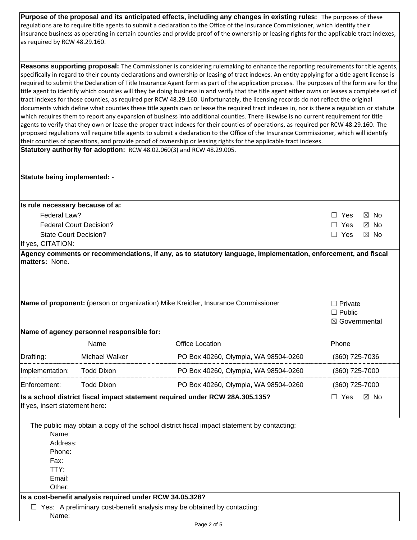**Purpose of the proposal and its anticipated effects, including any changes in existing rules:** The purposes of these regulations are to require title agents to submit a declaration to the Office of the Insurance Commissioner, which identify their insurance business as operating in certain counties and provide proof of the ownership or leasing rights for the applicable tract indexes, as required by RCW 48.29.160.

 **Statutory authority for adoption:** RCW 48.02.060(3) and RCW 48.29.005. **Reasons supporting proposal:** The Commissioner is considering rulemaking to enhance the reporting requirements for title agents, specifically in regard to their county declarations and ownership or leasing of tract indexes. An entity applying for a title agent license is required to submit the Declaration of Title Insurance Agent form as part of the application process. The purposes of the form are for the title agent to identify which counties will they be doing business in and verify that the title agent either owns or leases a complete set of tract indexes for those counties, as required per RCW 48.29.160. Unfortunately, the licensing records do not reflect the original documents which define what counties these title agents own or lease the required tract indexes in, nor is there a regulation or statute which requires them to report any expansion of business into additional counties. There likewise is no current requirement for title agents to verify that they own or lease the proper tract indexes for their counties of operations, as required per RCW 48.29.160. The proposed regulations will require title agents to submit a declaration to the Office of the Insurance Commissioner, which will identify their counties of operations, and provide proof of ownership or leasing rights for the applicable tract indexes.

| Statute being implemented: -                                                      |                                                                                                              |                                                                                                               |                              |  |
|-----------------------------------------------------------------------------------|--------------------------------------------------------------------------------------------------------------|---------------------------------------------------------------------------------------------------------------|------------------------------|--|
|                                                                                   |                                                                                                              |                                                                                                               |                              |  |
| Is rule necessary because of a:                                                   |                                                                                                              |                                                                                                               |                              |  |
| Federal Law?                                                                      |                                                                                                              |                                                                                                               | $\Box$ Yes<br>$\boxtimes$ No |  |
|                                                                                   | <b>Federal Court Decision?</b>                                                                               |                                                                                                               | $\Box$ Yes<br>$\boxtimes$ No |  |
| <b>State Court Decision?</b>                                                      |                                                                                                              |                                                                                                               | $\Box$ Yes<br>$\boxtimes$ No |  |
| If yes, CITATION:                                                                 |                                                                                                              |                                                                                                               |                              |  |
| <b>Imatters: None.</b>                                                            |                                                                                                              | Agency comments or recommendations, if any, as to statutory language, implementation, enforcement, and fiscal |                              |  |
|                                                                                   |                                                                                                              |                                                                                                               |                              |  |
|                                                                                   |                                                                                                              |                                                                                                               |                              |  |
|                                                                                   |                                                                                                              |                                                                                                               |                              |  |
|                                                                                   |                                                                                                              |                                                                                                               |                              |  |
| Name of proponent: (person or organization) Mike Kreidler, Insurance Commissioner |                                                                                                              |                                                                                                               | $\Box$ Private               |  |
|                                                                                   |                                                                                                              |                                                                                                               | $\Box$ Public                |  |
|                                                                                   |                                                                                                              |                                                                                                               | ⊠ Governmental               |  |
|                                                                                   | Name of agency personnel responsible for:                                                                    |                                                                                                               |                              |  |
|                                                                                   | Name                                                                                                         | <b>Office Location</b>                                                                                        | Phone                        |  |
| Drafting:                                                                         | Michael Walker                                                                                               | PO Box 40260, Olympia, WA 98504-0260                                                                          | $(360)$ 725-7036             |  |
| Implementation:                                                                   | <b>Todd Dixon</b>                                                                                            | PO Box 40260, Olympia, WA 98504-0260                                                                          | (360) 725-7000               |  |
| Enforcement:                                                                      | <b>Todd Dixon</b>                                                                                            | PO Box 40260, Olympia, WA 98504-0260                                                                          | (360) 725-7000               |  |
|                                                                                   | $\Box$ Yes<br>Is a school district fiscal impact statement required under RCW 28A.305.135?<br>$\boxtimes$ No |                                                                                                               |                              |  |
| If yes, insert statement here:                                                    |                                                                                                              |                                                                                                               |                              |  |
|                                                                                   |                                                                                                              |                                                                                                               |                              |  |
|                                                                                   |                                                                                                              | The public may obtain a copy of the school district fiscal impact statement by contacting:                    |                              |  |
| Name:<br>Address:                                                                 |                                                                                                              |                                                                                                               |                              |  |
| Phone:                                                                            |                                                                                                              |                                                                                                               |                              |  |
| Fax:                                                                              |                                                                                                              |                                                                                                               |                              |  |
| TTY:                                                                              |                                                                                                              |                                                                                                               |                              |  |
| Email:                                                                            |                                                                                                              |                                                                                                               |                              |  |
| Other:                                                                            |                                                                                                              |                                                                                                               |                              |  |
|                                                                                   | Is a cost-benefit analysis required under RCW 34.05.328?                                                     |                                                                                                               |                              |  |

□ Yes: A preliminary cost-benefit analysis may be obtained by contacting: Name: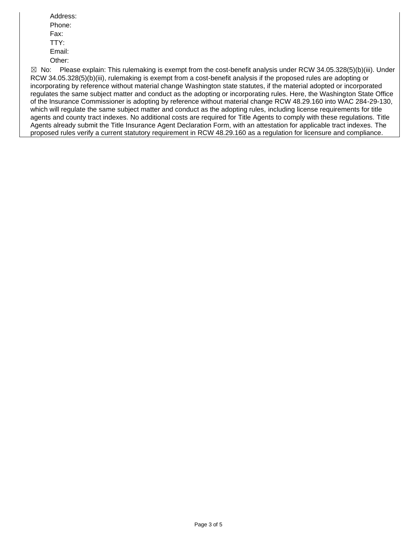Address: Phone: Fax: TTY: Email: Other:

 $\boxtimes$  No: incorporating by reference without material change Washington state statutes, if the material adopted or incorporated of the Insurance Commissioner is adopting by reference without material change RCW 48.29.160 into WAC 284-29-130, Please explain: This rulemaking is exempt from the cost-benefit analysis under RCW 34.05.328(5)(b)(iii). Under RCW 34.05.328(5)(b)(iii), rulemaking is exempt from a cost-benefit analysis if the proposed rules are adopting or regulates the same subject matter and conduct as the adopting or incorporating rules. Here, the Washington State Office which will regulate the same subject matter and conduct as the adopting rules, including license requirements for title agents and county tract indexes. No additional costs are required for Title Agents to comply with these regulations. Title Agents already submit the Title Insurance Agent Declaration Form, with an attestation for applicable tract indexes. The proposed rules verify a current statutory requirement in RCW 48.29.160 as a regulation for licensure and compliance.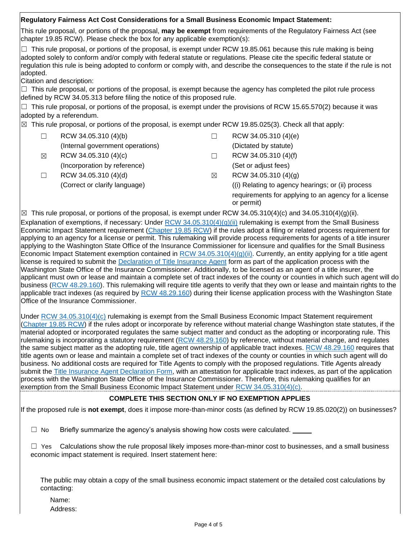## This rule proposal, or portions of the proposal, **may be exempt** from requirements of the Regulatory Fairness Act (see chapter 19.85 RCW). Please check the box for any applicable exemption(s):  $\Box$  This rule proposal, or portions of the proposal, is exempt under RCW 19.85.061 because this rule making is being adopted solely to conform and/or comply with federal statute or regulations. Please cite the specific federal statute or regulation this rule is being adopted to conform or comply with, and describe the consequences to the state if the rule is not  $\Box$  This rule proposal, or portions of the proposal, is exempt because the agency has completed the pilot rule process  $\Box$  This rule proposal, or portions of the proposal, is exempt under the provisions of RCW 15.65.570(2) because it was  $\boxtimes$  This rule proposal, or portions of the proposal, is exempt under RCW 19.85.025(3). Check all that apply:  $\boxtimes$  This rule proposal, or portions of the proposal, is exempt under RCW 34.05.310(4)(c) and 34.05.310(4)(g)(ii). **Regulatory Fairness Act Cost Considerations for a Small Business Economic Impact Statement:**  adopted. Citation and description: defined by RCW 34.05.313 before filing the notice of this proposed rule. adopted by a referendum.  $□$  RCW 34.05.310 (4)(b)  $□$  RCW 34.05.310 (4)(e) (Internal government operations) (Dictated by statute)  $\boxtimes$  RCW 34.05.310 (4)(c)  $\Box$  RCW 34.05.310 (4)(f) (Incorporation by reference) (Set or adjust fees)  $\Box$  RCW 34.05.310 (4)(d)  $\boxtimes$  RCW 34.05.310 (4)(g) (Correct or clarify language) ((i) Relating to agency hearings; or (ii) process requirements for applying to an agency for a license or permit) Explanation of exemptions, if necessary: Under RCW  $34.05.310(4)(g)(ii)$  rulemaking is exempt from the Small Business Economic Impact Statement requirement [\(Chapter 19.85 RCW\)](https://app.leg.wa.gov/rcw/default.aspx?cite=19.85) if the rules adopt a filing or related process requirement for applying to an agency for a license or permit. This rulemaking will provide process requirements for agents of a title insurer applying to the Washington State Office of the Insurance Commissioner for licensure and qualifies for the Small Business Economic Impact Statement exemption contained in [RCW 34.05.310\(4\)\(g\)\(](https://apps.leg.wa.gov/rcw/default.aspx?cite=34.05.310)ii). Currently, an entity applying for a title agent license is required to submit the [Declaration of Title Insurance Agent](https://www.insurance.wa.gov/sites/default/files/documents/declaration-of-title-insurance-agent_0.pdf) form as part of the application process with the Washington State Office of the Insurance Commissioner. Additionally, to be licensed as an agent of a title insurer, the applicant must own or lease and maintain a complete set of tract indexes of the county or counties in which such agent will do business [\(RCW 48.29.160\)](https://app.leg.wa.gov/rcw/default.aspx?cite=48.29.160). This rulemaking will require title agents to verify that they own or lease and maintain rights to the applicable tract indexes (as required by [RCW 48.29.160\)](https://app.leg.wa.gov/rcw/default.aspx?cite=48.29.160) during their license application process with the Washington State Office of the Insurance Commissioner. Under [RCW 34.05.310\(4\)\(c\)](https://apps.leg.wa.gov/rcw/default.aspx?cite=34.05.310) rulemaking is exempt from the Small Business Economic Impact Statement requirement [\(Chapter 19.85 RCW\)](https://app.leg.wa.gov/rcw/default.aspx?cite=19.85) if the rules adopt or incorporate by reference without material change Washington state statutes, if the material adopted or incorporated regulates the same subject matter and conduct as the adopting or incorporating rule. This rulemaking is incorporating a statutory requirement [\(RCW 48.29.160\)](https://app.leg.wa.gov/rcw/default.aspx?cite=48.29.160) by reference, without material change, and regulates the same subject matter as the adopting rule, title agent ownership of applicable tract indexes. [RCW 48.29.160](https://app.leg.wa.gov/rcw/default.aspx?cite=48.29.160) requires that

exemption from the Small Business Economic Impact Statement under [RCW 34.05.310\(4\)\(c\).](https://apps.leg.wa.gov/rcw/default.aspx?cite=34.05.310) title agents own or lease and maintain a complete set of tract indexes of the county or counties in which such agent will do business. No additional costs are required for Title Agents to comply with the proposed regulations. Title Agents already submit the **Title Insurance Agent Declaration Form**, with an attestation for applicable tract indexes, as part of the application process with the Washington State Office of the Insurance Commissioner. Therefore, this rulemaking qualifies for an

## **COMPLETE THIS SECTION ONLY IF NO EXEMPTION APPLIES**

If the proposed rule is **not exempt**, does it impose more-than-minor costs (as defined by RCW 19.85.020(2)) on businesses?

 $\Box$  No Briefly summarize the agency's analysis showing how costs were calculated.

 $\Box$  Yes Calculations show the rule proposal likely imposes more-than-minor cost to businesses, and a small business economic impact statement is required. Insert statement here:

The public may obtain a copy of the small business economic impact statement or the detailed cost calculations by contacting:

Name: Address: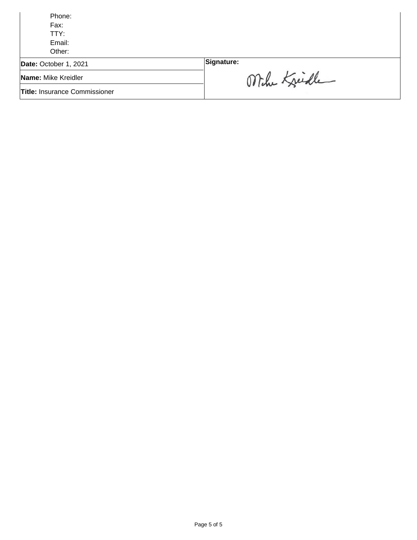| Phone:                               |               |
|--------------------------------------|---------------|
| Fax:                                 |               |
| TTY:                                 |               |
| Email:                               |               |
| Other:                               |               |
| Date: October 1, 2021                | Signature:    |
| Name: Mike Kreidler                  | Mihr Kreichle |
| <b>Title: Insurance Commissioner</b> |               |